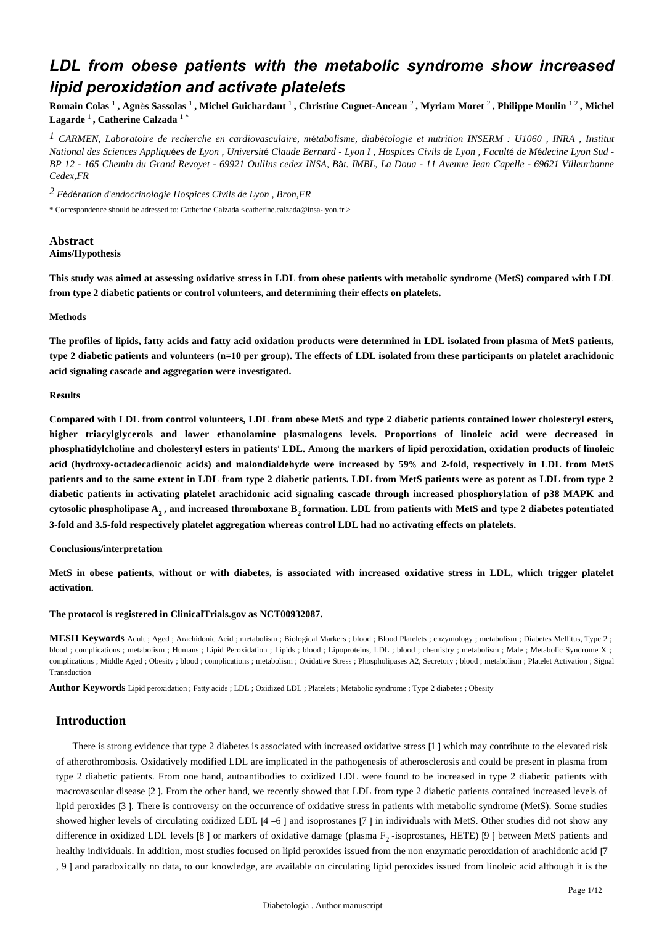# *LDL from obese patients with the metabolic syndrome show increased lipid peroxidation and activate platelets*

**Romain Colas** <sup>1</sup> **, Agn**è**s Sassolas** <sup>1</sup> **, Michel Guichardant** <sup>1</sup> **, Christine Cugnet-Anceau** <sup>2</sup> **, Myriam Moret** <sup>2</sup> **, Philippe Moulin** 1 2 **, Michel Lagarde** <sup>1</sup> **, Catherine Calzada** 1 \*

*CARMEN, Laboratoire de recherche en cardiovasculaire, m tabolisme, diab tologie et nutrition 1* <sup>é</sup> <sup>é</sup> *INSERM : U1060 , INRA , Institut National des Sciences Appliqu*é*es de Lyon , Universit*é *Claude Bernard - Lyon I , Hospices Civils de Lyon , Facult*é *de M*é*decine Lyon Sud - BP 12 - 165 Chemin du Grand Revoyet - 69921 Oullins cedex INSA, B*â*t. IMBL, La Doua - 11 Avenue Jean Capelle - 69621 Villeurbanne Cedex,FR*

*F d ration d endocrinologie 2* <sup>é</sup> <sup>é</sup> ' *Hospices Civils de Lyon , Bron,FR*

\* Correspondence should be adressed to: Catherine Calzada <catherine.calzada@insa-lyon.fr >

# **Abstract**

**Aims/Hypothesis**

**This study was aimed at assessing oxidative stress in LDL from obese patients with metabolic syndrome (MetS) compared with LDL from type 2 diabetic patients or control volunteers, and determining their effects on platelets.**

## **Methods**

**The profiles of lipids, fatty acids and fatty acid oxidation products were determined in LDL isolated from plasma of MetS patients, type 2 diabetic patients and volunteers (n**=**10 per group). The effects of LDL isolated from these participants on platelet arachidonic acid signaling cascade and aggregation were investigated.**

## **Results**

**Compared with LDL from control volunteers, LDL from obese MetS and type 2 diabetic patients contained lower cholesteryl esters, higher triacylglycerols and lower ethanolamine plasmalogens levels. Proportions of linoleic acid were decreased in phosphatidylcholine and cholesteryl esters in patients**' **LDL. Among the markers of lipid peroxidation, oxidation products of linoleic acid (hydroxy-octadecadienoic acids) and malondialdehyde were increased by 59**% **and 2-fold, respectively in LDL from MetS patients and to the same extent in LDL from type 2 diabetic patients. LDL from MetS patients were as potent as LDL from type 2 diabetic patients in activating platelet arachidonic acid signaling cascade through increased phosphorylation of p38 MAPK and cytosolic phospholipase A , and increased thromboxane B formation. LDL from patients with MetS and type 2 diabetes potentiated 2 2 3-fold and 3.5-fold respectively platelet aggregation whereas control LDL had no activating effects on platelets.**

#### **Conclusions/interpretation**

**MetS in obese patients, without or with diabetes, is associated with increased oxidative stress in LDL, which trigger platelet activation.**

**The protocol is registered in ClinicalTrials.gov as NCT00932087.**

**MESH Keywords** Adult ; Aged ; Arachidonic Acid ; metabolism ; Biological Markers ; blood ; Blood Platelets ; enzymology ; metabolism ; Diabetes Mellitus, Type 2 ; blood ; complications ; metabolism ; Humans ; Lipid Peroxidation ; Lipids ; blood ; Lipoproteins, LDL ; blood ; chemistry ; metabolism ; Male ; Metabolic Syndrome X ; complications ; Middle Aged ; Obesity ; blood ; complications ; metabolism ; Oxidative Stress ; Phospholipases A2, Secretory ; blood ; metabolism ; Platelet Activation ; Signal Transduction

**Author Keywords** Lipid peroxidation ; Fatty acids ; LDL ; Oxidized LDL ; Platelets ; Metabolic syndrome ; Type 2 diabetes ; Obesity

# **Introduction**

There is strong evidence that type 2 diabetes is associated with increased oxidative stress [1 ] which may contribute to the elevated risk of atherothrombosis. Oxidatively modified LDL are implicated in the pathogenesis of atherosclerosis and could be present in plasma from type 2 diabetic patients. From one hand, autoantibodies to oxidized LDL were found to be increased in type 2 diabetic patients with macrovascular disease [2 ]. From the other hand, we recently showed that LDL from type 2 diabetic patients contained increased levels of lipid peroxides [3 ]. There is controversy on the occurrence of oxidative stress in patients with metabolic syndrome (MetS). Some studies showed higher levels of circulating oxidized LDL [4 –6 ] and isoprostanes [7 ] in individuals with MetS. Other studies did not show any difference in oxidized LDL levels [8] or markers of oxidative damage (plasma  $F_2$ -isoprostanes, HETE) [9] between MetS patients and healthy individuals. In addition, most studies focused on lipid peroxides issued from the non enzymatic peroxidation of arachidonic acid [7 , 9 ] and paradoxically no data, to our knowledge, are available on circulating lipid peroxides issued from linoleic acid although it is the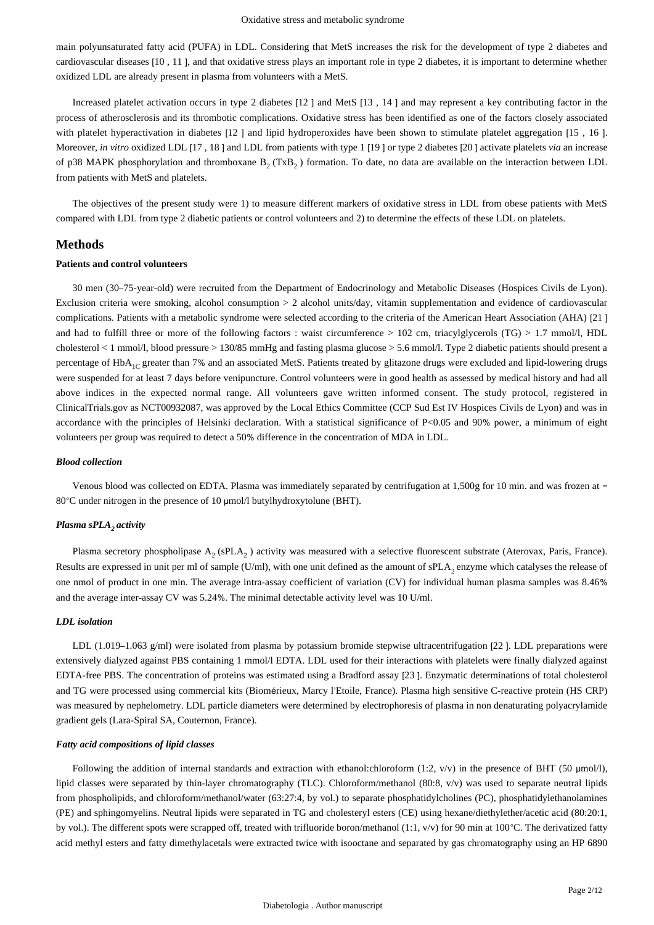main polyunsaturated fatty acid (PUFA) in LDL. Considering that MetS increases the risk for the development of type 2 diabetes and cardiovascular diseases [10 , 11 ], and that oxidative stress plays an important role in type 2 diabetes, it is important to determine whether oxidized LDL are already present in plasma from volunteers with a MetS.

Increased platelet activation occurs in type 2 diabetes [12 ] and MetS [13 , 14 ] and may represent a key contributing factor in the process of atherosclerosis and its thrombotic complications. Oxidative stress has been identified as one of the factors closely associated with platelet hyperactivation in diabetes [12 ] and lipid hydroperoxides have been shown to stimulate platelet aggregation [15 , 16 ]. Moreover, *in vitro* oxidized LDL [17 , 18 ] and LDL from patients with type 1 [19 ] or type 2 diabetes [20 ] activate platelets *via* an increase of p38 MAPK phosphorylation and thromboxane  $B_2(TxB_2)$  formation. To date, no data are available on the interaction between LDL from patients with MetS and platelets.

The objectives of the present study were 1) to measure different markers of oxidative stress in LDL from obese patients with MetS compared with LDL from type 2 diabetic patients or control volunteers and 2) to determine the effects of these LDL on platelets.

# **Methods**

#### **Patients and control volunteers**

30 men (30–75-year-old) were recruited from the Department of Endocrinology and Metabolic Diseases (Hospices Civils de Lyon). Exclusion criteria were smoking, alcohol consumption > 2 alcohol units/day, vitamin supplementation and evidence of cardiovascular complications. Patients with a metabolic syndrome were selected according to the criteria of the American Heart Association (AHA) [21 ] and had to fulfill three or more of the following factors : waist circumference  $> 102$  cm, triacylglycerols (TG)  $> 1.7$  mmol/l, HDL cholesterol < 1 mmol/l, blood pressure > 130/85 mmHg and fasting plasma glucose > 5.6 mmol/l. Type 2 diabetic patients should present a percentage of HbA<sub>1C</sub> greater than 7% and an associated MetS. Patients treated by glitazone drugs were excluded and lipid-lowering drugs were suspended for at least 7 days before venipuncture. Control volunteers were in good health as assessed by medical history and had all above indices in the expected normal range. All volunteers gave written informed consent. The study protocol, registered in ClinicalTrials.gov as NCT00932087, was approved by the Local Ethics Committee (CCP Sud Est IV Hospices Civils de Lyon) and was in accordance with the principles of Helsinki declaration. With a statistical significance of P<0.05 and 90% power, a minimum of eight volunteers per group was required to detect a 50% difference in the concentration of MDA in LDL.

## *Blood collection*

Venous blood was collected on EDTA. Plasma was immediately separated by centrifugation at 1,500g for 10 min. and was frozen at − 80°C under nitrogen in the presence of 10 μmol/l butylhydroxytolune (BHT).

# *Plasma sPLA activity <sup>2</sup>*

Plasma secretory phospholipase  $A_2$  (sPLA<sub>2</sub>) activity was measured with a selective fluorescent substrate (Aterovax, Paris, France). Results are expressed in unit per ml of sample (U/ml), with one unit defined as the amount of sPLA, enzyme which catalyses the release of one nmol of product in one min. The average intra-assay coefficient of variation (CV) for individual human plasma samples was 8.46% and the average inter-assay CV was 5.24%. The minimal detectable activity level was 10 U/ml.

#### *LDL isolation*

LDL (1.019–1.063 g/ml) were isolated from plasma by potassium bromide stepwise ultracentrifugation [22]. LDL preparations were extensively dialyzed against PBS containing 1 mmol/l EDTA. LDL used for their interactions with platelets were finally dialyzed against EDTA-free PBS. The concentration of proteins was estimated using a Bradford assay [23 ]. Enzymatic determinations of total cholesterol and TG were processed using commercial kits (Biomérieux, Marcy l'Etoile, France). Plasma high sensitive C-reactive protein (HS CRP) was measured by nephelometry. LDL particle diameters were determined by electrophoresis of plasma in non denaturating polyacrylamide gradient gels (Lara-Spiral SA, Couternon, France).

#### *Fatty acid compositions of lipid classes*

Following the addition of internal standards and extraction with ethanol:chloroform (1:2,  $v/v$ ) in the presence of BHT (50 µmol/l), lipid classes were separated by thin-layer chromatography (TLC). Chloroform/methanol (80:8, v/v) was used to separate neutral lipids from phospholipids, and chloroform/methanol/water (63:27:4, by vol.) to separate phosphatidylcholines (PC), phosphatidylethanolamines (PE) and sphingomyelins. Neutral lipids were separated in TG and cholesteryl esters (CE) using hexane/diethylether/acetic acid (80:20:1, by vol.). The different spots were scrapped off, treated with trifluoride boron/methanol (1:1, v/v) for 90 min at 100°C. The derivatized fatty acid methyl esters and fatty dimethylacetals were extracted twice with isooctane and separated by gas chromatography using an HP 6890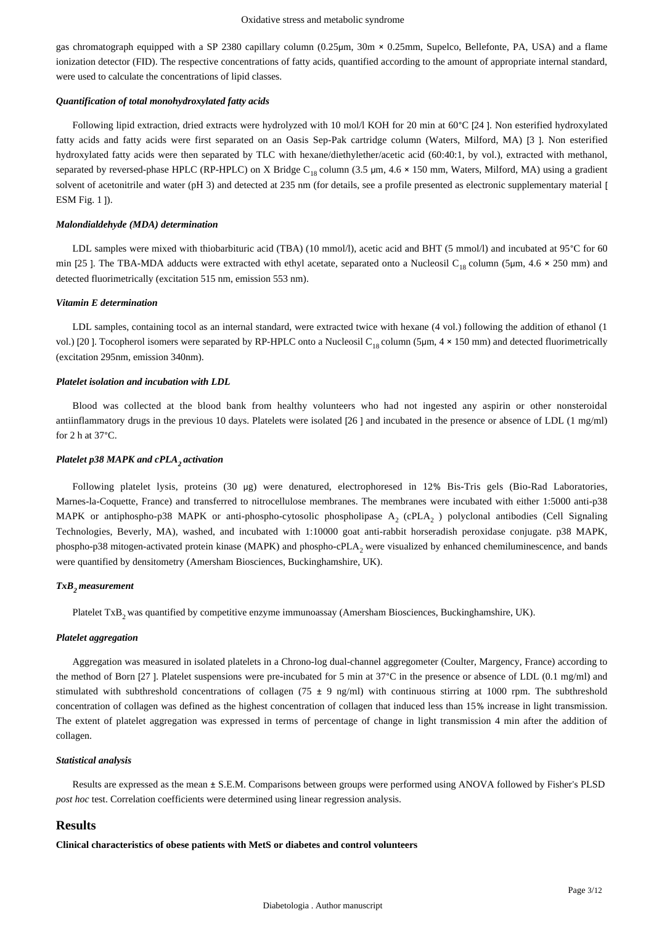gas chromatograph equipped with a SP 2380 capillary column (0.25μm, 30m × 0.25mm, Supelco, Bellefonte, PA, USA) and a flame ionization detector (FID). The respective concentrations of fatty acids, quantified according to the amount of appropriate internal standard, were used to calculate the concentrations of lipid classes.

## *Quantification of total monohydroxylated fatty acids*

Following lipid extraction, dried extracts were hydrolyzed with 10 mol/l KOH for 20 min at 60°C [24 ]. Non esterified hydroxylated fatty acids and fatty acids were first separated on an Oasis Sep-Pak cartridge column (Waters, Milford, MA) [3 ]. Non esterified hydroxylated fatty acids were then separated by TLC with hexane/diethylether/acetic acid (60:40:1, by vol.), extracted with methanol, separated by reversed-phase HPLC (RP-HPLC) on X Bridge C<sub>18</sub> column (3.5 µm, 4.6 × 150 mm, Waters, Milford, MA) using a gradient solvent of acetonitrile and water (pH 3) and detected at 235 nm (for details, see a profile presented as electronic supplementary material [ ESM Fig. 1 ]).

#### *Malondialdehyde (MDA) determination*

LDL samples were mixed with thiobarbituric acid (TBA) (10 mmol/l), acetic acid and BHT (5 mmol/l) and incubated at 95°C for 60 min [25 ]. The TBA-MDA adducts were extracted with ethyl acetate, separated onto a Nucleosil C<sub>18</sub> column (5 $\mu$ m, 4.6  $\times$  250 mm) and detected fluorimetrically (excitation 515 nm, emission 553 nm).

#### *Vitamin E determination*

LDL samples, containing tocol as an internal standard, were extracted twice with hexane (4 vol.) following the addition of ethanol (1 vol.) [20 ]. Tocopherol isomers were separated by RP-HPLC onto a Nucleosil C<sub>18</sub> column (5 $\mu$ m, 4 × 150 mm) and detected fluorimetrically (excitation 295nm, emission 340nm).

#### *Platelet isolation and incubation with LDL*

Blood was collected at the blood bank from healthy volunteers who had not ingested any aspirin or other nonsteroidal antiinflammatory drugs in the previous 10 days. Platelets were isolated [26 ] and incubated in the presence or absence of LDL (1 mg/ml) for 2 h at 37°C.

#### *Platelet p38 MAPK and cPLA activation <sup>2</sup>*

Following platelet lysis, proteins (30 μg) were denatured, electrophoresed in 12% Bis-Tris gels (Bio-Rad Laboratories, Marnes-la-Coquette, France) and transferred to nitrocellulose membranes. The membranes were incubated with either 1:5000 anti-p38 MAPK or antiphospho-p38 MAPK or anti-phospho-cytosolic phospholipase  $A_2$  (cPLA $_2$ ) polyclonal antibodies (Cell Signaling Technologies, Beverly, MA), washed, and incubated with 1:10000 goat anti-rabbit horseradish peroxidase conjugate. p38 MAPK, phospho-p38 mitogen-activated protein kinase (MAPK) and phospho-cPLA<sub>2</sub> were visualized by enhanced chemiluminescence, and bands were quantified by densitometry (Amersham Biosciences, Buckinghamshire, UK).

#### *TxB measurement <sup>2</sup>*

Platelet TxB<sub>2</sub> was quantified by competitive enzyme immunoassay (Amersham Biosciences, Buckinghamshire, UK).

#### *Platelet aggregation*

Aggregation was measured in isolated platelets in a Chrono-log dual-channel aggregometer (Coulter, Margency, France) according to the method of Born [27 ]. Platelet suspensions were pre-incubated for 5 min at 37°C in the presence or absence of LDL (0.1 mg/ml) and stimulated with subthreshold concentrations of collagen (75  $\pm$  9 ng/ml) with continuous stirring at 1000 rpm. The subthreshold concentration of collagen was defined as the highest concentration of collagen that induced less than 15% increase in light transmission. The extent of platelet aggregation was expressed in terms of percentage of change in light transmission 4 min after the addition of collagen.

#### *Statistical analysis*

Results are expressed as the mean ± S.E.M. Comparisons between groups were performed using ANOVA followed by Fisher's PLSD *post hoc* test. Correlation coefficients were determined using linear regression analysis.

# **Results**

**Clinical characteristics of obese patients with MetS or diabetes and control volunteers**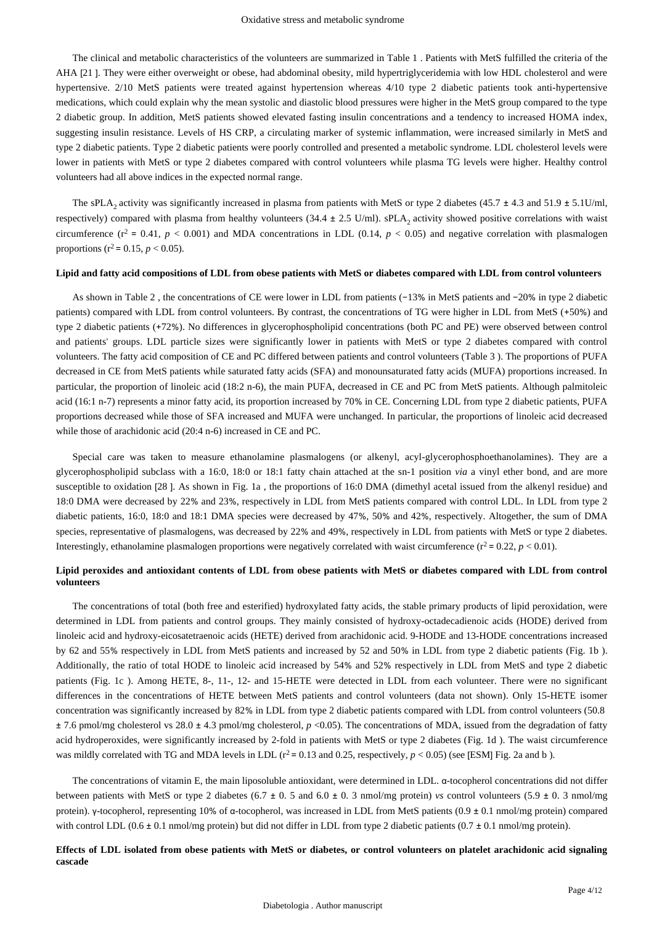The clinical and metabolic characteristics of the volunteers are summarized in Table 1 . Patients with MetS fulfilled the criteria of the AHA [21 ]. They were either overweight or obese, had abdominal obesity, mild hypertriglyceridemia with low HDL cholesterol and were hypertensive. 2/10 MetS patients were treated against hypertension whereas 4/10 type 2 diabetic patients took anti-hypertensive medications, which could explain why the mean systolic and diastolic blood pressures were higher in the MetS group compared to the type 2 diabetic group. In addition, MetS patients showed elevated fasting insulin concentrations and a tendency to increased HOMA index, suggesting insulin resistance. Levels of HS CRP, a circulating marker of systemic inflammation, were increased similarly in MetS and type 2 diabetic patients. Type 2 diabetic patients were poorly controlled and presented a metabolic syndrome. LDL cholesterol levels were lower in patients with MetS or type 2 diabetes compared with control volunteers while plasma TG levels were higher. Healthy control volunteers had all above indices in the expected normal range.

The sPLA<sub>2</sub> activity was significantly increased in plasma from patients with MetS or type 2 diabetes (45.7  $\pm$  4.3 and 51.9  $\pm$  5.1U/ml, respectively) compared with plasma from healthy volunteers  $(34.4 \pm 2.5 \text{ U/ml})$ . sPLA, activity showed positive correlations with waist circumference ( $r^2 = 0.41$ ,  $p < 0.001$ ) and MDA concentrations in LDL (0.14,  $p < 0.05$ ) and negative correlation with plasmalogen proportions ( $r^2$  = 0.15,  $p < 0.05$ ).

#### **Lipid and fatty acid compositions of LDL from obese patients with MetS or diabetes compared with LDL from control volunteers**

As shown in Table 2 , the concentrations of CE were lower in LDL from patients (−13% in MetS patients and −20% in type 2 diabetic patients) compared with LDL from control volunteers. By contrast, the concentrations of TG were higher in LDL from MetS (+50%) and type 2 diabetic patients (+72%). No differences in glycerophospholipid concentrations (both PC and PE) were observed between control and patients' groups. LDL particle sizes were significantly lower in patients with MetS or type 2 diabetes compared with control volunteers. The fatty acid composition of CE and PC differed between patients and control volunteers (Table 3 ). The proportions of PUFA decreased in CE from MetS patients while saturated fatty acids (SFA) and monounsaturated fatty acids (MUFA) proportions increased. In particular, the proportion of linoleic acid (18:2 n-6), the main PUFA, decreased in CE and PC from MetS patients. Although palmitoleic acid (16:1 n-7) represents a minor fatty acid, its proportion increased by 70% in CE. Concerning LDL from type 2 diabetic patients, PUFA proportions decreased while those of SFA increased and MUFA were unchanged. In particular, the proportions of linoleic acid decreased while those of arachidonic acid (20:4 n-6) increased in CE and PC.

Special care was taken to measure ethanolamine plasmalogens (or alkenyl, acyl-glycerophosphoethanolamines). They are a glycerophospholipid subclass with a 16:0, 18:0 or 18:1 fatty chain attached at the sn-1 position *via* a vinyl ether bond, and are more susceptible to oxidation [28 ]. As shown in Fig. 1a , the proportions of 16:0 DMA (dimethyl acetal issued from the alkenyl residue) and 18:0 DMA were decreased by 22% and 23%, respectively in LDL from MetS patients compared with control LDL. In LDL from type 2 diabetic patients, 16:0, 18:0 and 18:1 DMA species were decreased by 47%, 50% and 42%, respectively. Altogether, the sum of DMA species, representative of plasmalogens, was decreased by 22% and 49%, respectively in LDL from patients with MetS or type 2 diabetes. Interestingly, ethanolamine plasmalogen proportions were negatively correlated with waist circumference  $(r^2 = 0.22, p < 0.01)$ .

# **Lipid peroxides and antioxidant contents of LDL from obese patients with MetS or diabetes compared with LDL from control volunteers**

The concentrations of total (both free and esterified) hydroxylated fatty acids, the stable primary products of lipid peroxidation, were determined in LDL from patients and control groups. They mainly consisted of hydroxy-octadecadienoic acids (HODE) derived from linoleic acid and hydroxy-eicosatetraenoic acids (HETE) derived from arachidonic acid. 9-HODE and 13-HODE concentrations increased by 62 and 55% respectively in LDL from MetS patients and increased by 52 and 50% in LDL from type 2 diabetic patients (Fig. 1b ). Additionally, the ratio of total HODE to linoleic acid increased by 54% and 52% respectively in LDL from MetS and type 2 diabetic patients (Fig. 1c ). Among HETE, 8-, 11-, 12- and 15-HETE were detected in LDL from each volunteer. There were no significant differences in the concentrations of HETE between MetS patients and control volunteers (data not shown). Only 15-HETE isomer concentration was significantly increased by 82% in LDL from type 2 diabetic patients compared with LDL from control volunteers (50.8 ± 7.6 pmol/mg cholesterol vs 28.0 ± 4.3 pmol/mg cholesterol, *p* <0.05). The concentrations of MDA, issued from the degradation of fatty acid hydroperoxides, were significantly increased by 2-fold in patients with MetS or type 2 diabetes (Fig. 1d ). The waist circumference was mildly correlated with TG and MDA levels in LDL ( $r^2 = 0.13$  and 0.25, respectively,  $p < 0.05$ ) (see [ESM] Fig. 2a and b).

The concentrations of vitamin E, the main liposoluble antioxidant, were determined in LDL. α-tocopherol concentrations did not differ between patients with MetS or type 2 diabetes (6.7 ± 0. 5 and 6.0 ± 0. 3 nmol/mg protein) *vs* control volunteers (5.9 ± 0. 3 nmol/mg protein). γ-tocopherol, representing 10% of α-tocopherol, was increased in LDL from MetS patients (0.9 ± 0.1 nmol/mg protein) compared with control LDL ( $0.6 \pm 0.1$  nmol/mg protein) but did not differ in LDL from type 2 diabetic patients ( $0.7 \pm 0.1$  nmol/mg protein).

## **Effects of LDL isolated from obese patients with MetS or diabetes, or control volunteers on platelet arachidonic acid signaling cascade**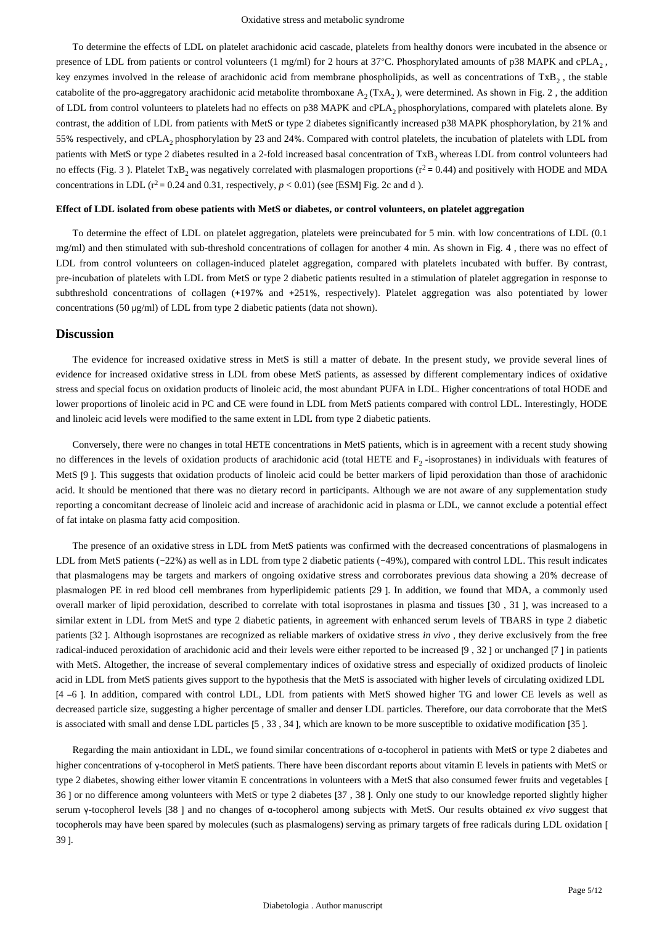To determine the effects of LDL on platelet arachidonic acid cascade, platelets from healthy donors were incubated in the absence or presence of LDL from patients or control volunteers (1 mg/ml) for 2 hours at 37°C. Phosphorylated amounts of p38 MAPK and cPLA<sub>2</sub>, key enzymes involved in the release of arachidonic acid from membrane phospholipids, as well as concentrations of TxB, the stable catabolite of the pro-aggregatory arachidonic acid metabolite thromboxane  $A_2(TxA_2)$ , were determined. As shown in Fig. 2, the addition of LDL from control volunteers to platelets had no effects on p38 MAPK and cPLA phosphorylations, compared with platelets alone. By <sup>2</sup> contrast, the addition of LDL from patients with MetS or type 2 diabetes significantly increased p38 MAPK phosphorylation, by 21% and 55% respectively, and cPLA<sub>2</sub> phosphorylation by 23 and 24%. Compared with control platelets, the incubation of platelets with LDL from patients with MetS or type 2 diabetes resulted in a 2-fold increased basal concentration of  $TxB_2$ , whereas LDL from control volunteers had no effects (Fig. 3). Platelet TxB<sub>2</sub> was negatively correlated with plasmalogen proportions ( $r^2$  = 0.44) and positively with HODE and MDA concentrations in LDL ( $r^2$  = 0.24 and 0.31, respectively,  $p < 0.01$ ) (see [ESM] Fig. 2c and d).

## **Effect of LDL isolated from obese patients with MetS or diabetes, or control volunteers, on platelet aggregation**

To determine the effect of LDL on platelet aggregation, platelets were preincubated for 5 min. with low concentrations of LDL (0.1 mg/ml) and then stimulated with sub-threshold concentrations of collagen for another 4 min. As shown in Fig. 4 , there was no effect of LDL from control volunteers on collagen-induced platelet aggregation, compared with platelets incubated with buffer. By contrast, pre-incubation of platelets with LDL from MetS or type 2 diabetic patients resulted in a stimulation of platelet aggregation in response to subthreshold concentrations of collagen (+197% and +251%, respectively). Platelet aggregation was also potentiated by lower concentrations (50 μg/ml) of LDL from type 2 diabetic patients (data not shown).

# **Discussion**

The evidence for increased oxidative stress in MetS is still a matter of debate. In the present study, we provide several lines of evidence for increased oxidative stress in LDL from obese MetS patients, as assessed by different complementary indices of oxidative stress and special focus on oxidation products of linoleic acid, the most abundant PUFA in LDL. Higher concentrations of total HODE and lower proportions of linoleic acid in PC and CE were found in LDL from MetS patients compared with control LDL. Interestingly, HODE and linoleic acid levels were modified to the same extent in LDL from type 2 diabetic patients.

Conversely, there were no changes in total HETE concentrations in MetS patients, which is in agreement with a recent study showing no differences in the levels of oxidation products of arachidonic acid (total HETE and  $F<sub>2</sub>$ -isoprostanes) in individuals with features of MetS [9 ]. This suggests that oxidation products of linoleic acid could be better markers of lipid peroxidation than those of arachidonic acid. It should be mentioned that there was no dietary record in participants. Although we are not aware of any supplementation study reporting a concomitant decrease of linoleic acid and increase of arachidonic acid in plasma or LDL, we cannot exclude a potential effect of fat intake on plasma fatty acid composition.

The presence of an oxidative stress in LDL from MetS patients was confirmed with the decreased concentrations of plasmalogens in LDL from MetS patients (−22%) as well as in LDL from type 2 diabetic patients (−49%), compared with control LDL. This result indicates that plasmalogens may be targets and markers of ongoing oxidative stress and corroborates previous data showing a 20% decrease of plasmalogen PE in red blood cell membranes from hyperlipidemic patients [29 ]. In addition, we found that MDA, a commonly used overall marker of lipid peroxidation, described to correlate with total isoprostanes in plasma and tissues [30 , 31 ], was increased to a similar extent in LDL from MetS and type 2 diabetic patients, in agreement with enhanced serum levels of TBARS in type 2 diabetic patients [32 ]. Although isoprostanes are recognized as reliable markers of oxidative stress *in vivo* , they derive exclusively from the free radical-induced peroxidation of arachidonic acid and their levels were either reported to be increased [9 , 32 ] or unchanged [7 ] in patients with MetS. Altogether, the increase of several complementary indices of oxidative stress and especially of oxidized products of linoleic acid in LDL from MetS patients gives support to the hypothesis that the MetS is associated with higher levels of circulating oxidized LDL [4 –6 ]. In addition, compared with control LDL, LDL from patients with MetS showed higher TG and lower CE levels as well as decreased particle size, suggesting a higher percentage of smaller and denser LDL particles. Therefore, our data corroborate that the MetS is associated with small and dense LDL particles [5 , 33 , 34 ], which are known to be more susceptible to oxidative modification [35 ].

Regarding the main antioxidant in LDL, we found similar concentrations of α-tocopherol in patients with MetS or type 2 diabetes and higher concentrations of γ-tocopherol in MetS patients. There have been discordant reports about vitamin E levels in patients with MetS or type 2 diabetes, showing either lower vitamin E concentrations in volunteers with a MetS that also consumed fewer fruits and vegetables [ 36 ] or no difference among volunteers with MetS or type 2 diabetes [37 , 38 ]. Only one study to our knowledge reported slightly higher serum γ-tocopherol levels [38 ] and no changes of α-tocopherol among subjects with MetS. Our results obtained *ex vivo* suggest that tocopherols may have been spared by molecules (such as plasmalogens) serving as primary targets of free radicals during LDL oxidation [ 39 ].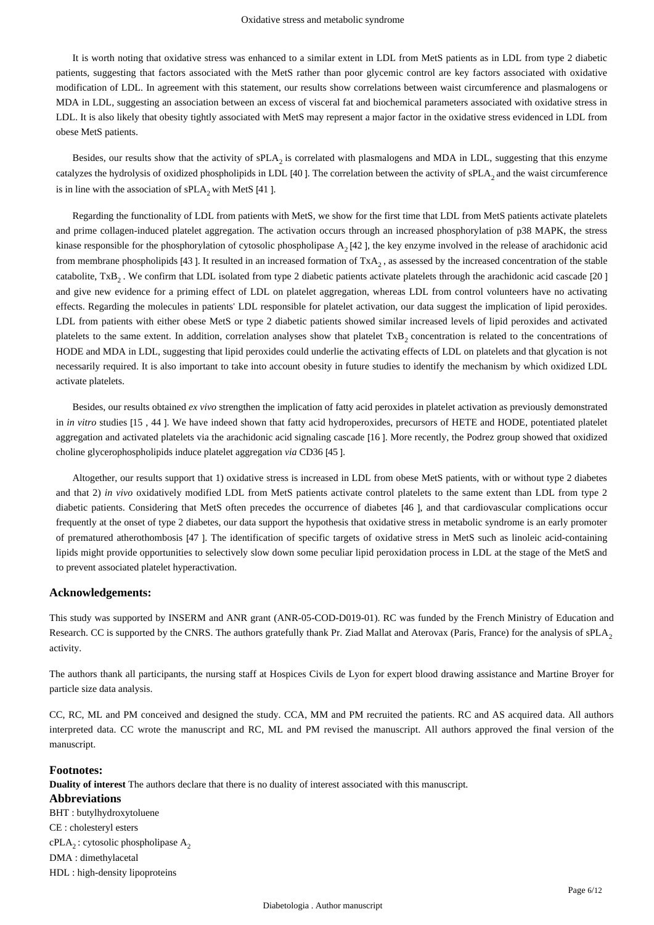It is worth noting that oxidative stress was enhanced to a similar extent in LDL from MetS patients as in LDL from type 2 diabetic patients, suggesting that factors associated with the MetS rather than poor glycemic control are key factors associated with oxidative modification of LDL. In agreement with this statement, our results show correlations between waist circumference and plasmalogens or MDA in LDL, suggesting an association between an excess of visceral fat and biochemical parameters associated with oxidative stress in LDL. It is also likely that obesity tightly associated with MetS may represent a major factor in the oxidative stress evidenced in LDL from obese MetS patients.

Besides, our results show that the activity of  $sPLA_2$  is correlated with plasmalogens and MDA in LDL, suggesting that this enzyme catalyzes the hydrolysis of oxidized phospholipids in LDL [40]. The correlation between the activity of  $sPLA_2$  and the waist circumference is in line with the association of  $sPLA_2$  with MetS [41].

Regarding the functionality of LDL from patients with MetS, we show for the first time that LDL from MetS patients activate platelets and prime collagen-induced platelet aggregation. The activation occurs through an increased phosphorylation of p38 MAPK, the stress kinase responsible for the phosphorylation of cytosolic phospholipase  $A_2$  [42 ], the key enzyme involved in the release of arachidonic acid from membrane phospholipids [43]. It resulted in an increased formation of  $TxA_2$ , as assessed by the increased concentration of the stable catabolite, TxB<sub>2</sub>. We confirm that LDL isolated from type 2 diabetic patients activate platelets through the arachidonic acid cascade [20] and give new evidence for a priming effect of LDL on platelet aggregation, whereas LDL from control volunteers have no activating effects. Regarding the molecules in patients' LDL responsible for platelet activation, our data suggest the implication of lipid peroxides. LDL from patients with either obese MetS or type 2 diabetic patients showed similar increased levels of lipid peroxides and activated platelets to the same extent. In addition, correlation analyses show that platelet TxB, concentration is related to the concentrations of HODE and MDA in LDL, suggesting that lipid peroxides could underlie the activating effects of LDL on platelets and that glycation is not necessarily required. It is also important to take into account obesity in future studies to identify the mechanism by which oxidized LDL activate platelets.

Besides, our results obtained *ex vivo* strengthen the implication of fatty acid peroxides in platelet activation as previously demonstrated in *in vitro* studies [15 , 44 ]. We have indeed shown that fatty acid hydroperoxides, precursors of HETE and HODE, potentiated platelet aggregation and activated platelets via the arachidonic acid signaling cascade [16 ]. More recently, the Podrez group showed that oxidized choline glycerophospholipids induce platelet aggregation *via* CD36 [45 ].

Altogether, our results support that 1) oxidative stress is increased in LDL from obese MetS patients, with or without type 2 diabetes and that 2) *in vivo* oxidatively modified LDL from MetS patients activate control platelets to the same extent than LDL from type 2 diabetic patients. Considering that MetS often precedes the occurrence of diabetes [46 ], and that cardiovascular complications occur frequently at the onset of type 2 diabetes, our data support the hypothesis that oxidative stress in metabolic syndrome is an early promoter of prematured atherothombosis [47 ]. The identification of specific targets of oxidative stress in MetS such as linoleic acid-containing lipids might provide opportunities to selectively slow down some peculiar lipid peroxidation process in LDL at the stage of the MetS and to prevent associated platelet hyperactivation.

## **Acknowledgements:**

This study was supported by INSERM and ANR grant (ANR-05-COD-D019-01). RC was funded by the French Ministry of Education and Research. CC is supported by the CNRS. The authors gratefully thank Pr. Ziad Mallat and Aterovax (Paris, France) for the analysis of sPLA<sub>2</sub> activity.

The authors thank all participants, the nursing staff at Hospices Civils de Lyon for expert blood drawing assistance and Martine Broyer for particle size data analysis.

CC, RC, ML and PM conceived and designed the study. CCA, MM and PM recruited the patients. RC and AS acquired data. All authors interpreted data. CC wrote the manuscript and RC, ML and PM revised the manuscript. All authors approved the final version of the manuscript.

# **Footnotes:**

**Duality of interest** The authors declare that there is no duality of interest associated with this manuscript.

**Abbreviations** BHT : butylhydroxytoluene CE : cholesteryl esters  $cPLA_2$ : cytosolic phospholipase A<sub>2</sub> DMA : dimethylacetal HDL : high-density lipoproteins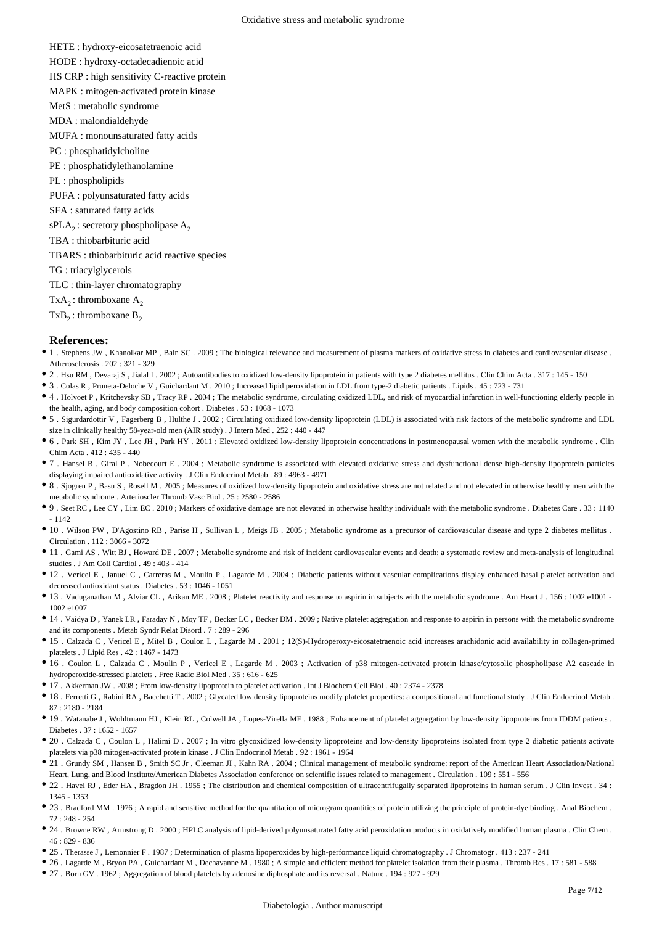HETE : hydroxy-eicosatetraenoic acid

HODE : hydroxy-octadecadienoic acid

HS CRP : high sensitivity C-reactive protein

MAPK : mitogen-activated protein kinase

- MetS : metabolic syndrome
- MDA : malondialdehyde
- MUFA : monounsaturated fatty acids
- PC : phosphatidylcholine
- PE : phosphatidylethanolamine
- PL : phospholipids

PUFA : polyunsaturated fatty acids

SFA : saturated fatty acids

 $sPLA_2$ : secretory phospholipase A<sub>2</sub>

TBA : thiobarbituric acid

TBARS : thiobarbituric acid reactive species

TG : triacylglycerols

TLC : thin-layer chromatography

 $TxA<sub>2</sub>$ : thromboxane A<sub>2</sub>

 $TxB_2$ : thromboxane  $B_2$ 

# **References:**

- 1 . Stephens JW , Khanolkar MP , Bain SC . 2009 ; The biological relevance and measurement of plasma markers of oxidative stress in diabetes and cardiovascular disease . Atherosclerosis . 202 : 321 - 329
- 2 . Hsu RM , Devaraj S , Jialal I . 2002 ; Autoantibodies to oxidized low-density lipoprotein in patients with type 2 diabetes mellitus . Clin Chim Acta . 317 : 145 150
- 3 . Colas R , Pruneta-Deloche V , Guichardant M . 2010 ; Increased lipid peroxidation in LDL from type-2 diabetic patients . Lipids . 45 : 723 731
- 4 . Holvoet P , Kritchevsky SB , Tracy RP . 2004 ; The metabolic syndrome, circulating oxidized LDL, and risk of myocardial infarction in well-functioning elderly people in the health, aging, and body composition cohort . Diabetes . 53 : 1068 - 1073
- 5 . Sigurdardottir V , Fagerberg B , Hulthe J . 2002 ; Circulating oxidized low-density lipoprotein (LDL) is associated with risk factors of the metabolic syndrome and LDL size in clinically healthy 58-year-old men (AIR study) . J Intern Med . 252 : 440 - 447
- 6 . Park SH , Kim JY , Lee JH , Park HY . 2011 ; Elevated oxidized low-density lipoprotein concentrations in postmenopausal women with the metabolic syndrome . Clin Chim Acta . 412 : 435 - 440
- 7 . Hansel B , Giral P , Nobecourt E . 2004 ; Metabolic syndrome is associated with elevated oxidative stress and dysfunctional dense high-density lipoprotein particles displaying impaired antioxidative activity . J Clin Endocrinol Metab . 89 : 4963 - 4971
- <sup>8</sup> 8 . Sjogren P, Basu S, Rosell M . 2005; Measures of oxidized low-density lipoprotein and oxidative stress are not related and not elevated in otherwise healthy men with the metabolic syndrome . Arterioscler Thromb Vasc Biol . 25 : 2580 - 2586
- 9 . Seet RC , Lee CY , Lim EC . 2010 ; Markers of oxidative damage are not elevated in otherwise healthy individuals with the metabolic syndrome . Diabetes Care . 33 : 1140  $-1142$
- 10 . Wilson PW , D'Agostino RB , Parise H , Sullivan L , Meigs JB . 2005 ; Metabolic syndrome as a precursor of cardiovascular disease and type 2 diabetes mellitus . Circulation . 112 : 3066 - 3072
- 11 . Gami AS , Witt BJ , Howard DE . 2007 ; Metabolic syndrome and risk of incident cardiovascular events and death: a systematic review and meta-analysis of longitudinal studies . J Am Coll Cardiol . 49 : 403 - 414
- 12 . Vericel E , Januel C , Carreras M , Moulin P , Lagarde M . 2004 ; Diabetic patients without vascular complications display enhanced basal platelet activation and decreased antioxidant status . Diabetes . 53 : 1046 - 1051
- 13 . Vaduganathan M , Alviar CL , Arikan ME . 2008 ; Platelet reactivity and response to aspirin in subjects with the metabolic syndrome . Am Heart J . 156 : 1002 e1001 1002 e1007
- 14 . Vaidya D , Yanek LR , Faraday N , Moy TF , Becker LC , Becker DM . 2009 ; Native platelet aggregation and response to aspirin in persons with the metabolic syndrome and its components . Metab Syndr Relat Disord . 7 : 289 - 296
- 15 . Calzada C , Vericel E , Mitel B , Coulon L , Lagarde M . 2001 ; 12(S)-Hydroperoxy-eicosatetraenoic acid increases arachidonic acid availability in collagen-primed platelets . J Lipid Res . 42 : 1467 - 1473
- 16 . Coulon L , Calzada C , Moulin P , Vericel E , Lagarde M . 2003 ; Activation of p38 mitogen-activated protein kinase/cytosolic phospholipase A2 cascade in hydroperoxide-stressed platelets . Free Radic Biol Med . 35 : 616 - 625
- 17 . Akkerman JW . 2008 ; From low-density lipoprotein to platelet activation . Int J Biochem Cell Biol . 40 : 2374 2378
- 18 . Ferretti G , Rabini RA , Bacchetti T . 2002 ; Glycated low density lipoproteins modify platelet properties: a compositional and functional study . J Clin Endocrinol Metab . 87 : 2180 - 2184
- 19 . Watanabe J , Wohltmann HJ , Klein RL , Colwell JA , Lopes-Virella MF . 1988 ; Enhancement of platelet aggregation by low-density lipoproteins from IDDM patients . Diabetes . 37 : 1652 - 1657
- 20 . Calzada C , Coulon L , Halimi D . 2007 ; In vitro glycoxidized low-density lipoproteins and low-density lipoproteins isolated from type 2 diabetic patients activate platelets via p38 mitogen-activated protein kinase . J Clin Endocrinol Metab . 92 : 1961 - 1964
- <sup>•</sup> 21 . Grundy SM , Hansen B , Smith SC Jr , Cleeman JI , Kahn RA . 2004 ; Clinical management of metabolic syndrome: report of the American Heart Association/National Heart, Lung, and Blood Institute/American Diabetes Association conference on scientific issues related to management . Circulation . 109 : 551 - 556
- 22 . Havel RJ , Eder HA , Bragdon JH . 1955 ; The distribution and chemical composition of ultracentrifugally separated lipoproteins in human serum . J Clin Invest . 34 : 1345 - 1353
- 23 . Bradford MM . 1976 ; A rapid and sensitive method for the quantitation of microgram quantities of protein utilizing the principle of protein-dye binding . Anal Biochem . 72 : 248 - 254
- 24 . Browne RW , Armstrong D . 2000 ; HPLC analysis of lipid-derived polyunsaturated fatty acid peroxidation products in oxidatively modified human plasma . Clin Chem . 46 : 829 - 836
- <sup>•</sup> 25 . Therasse J , Lemonnier F . 1987 ; Determination of plasma lipoperoxides by high-performance liquid chromatography . J Chromatogr . 413 : 237 241
- 26 . Lagarde M , Bryon PA , Guichardant M , Dechavanne M . 1980 ; A simple and efficient method for platelet isolation from their plasma . Thromb Res . 17 : 581 588
- 27 . Born GV . 1962 ; Aggregation of blood platelets by adenosine diphosphate and its reversal . Nature . 194 : 927 929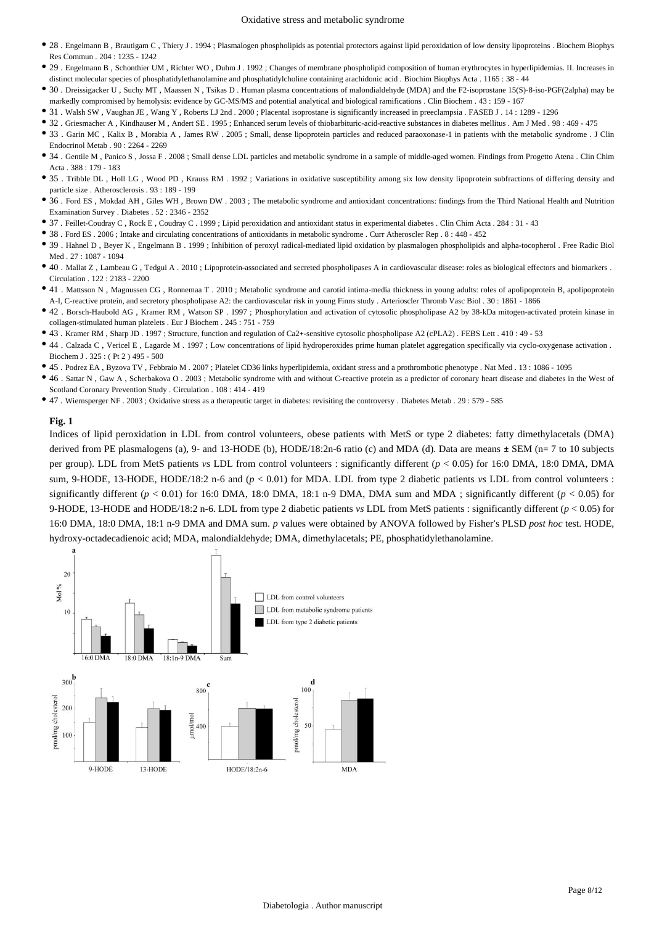- 28 . Engelmann B , Brautigam C , Thiery J . 1994 ; Plasmalogen phospholipids as potential protectors against lipid peroxidation of low density lipoproteins . Biochem Biophys Res Commun . 204 : 1235 - 1242
- 29 . Engelmann B , Schonthier UM , Richter WO , Duhm J . 1992 ; Changes of membrane phospholipid composition of human erythrocytes in hyperlipidemias. II. Increases in distinct molecular species of phosphatidylethanolamine and phosphatidylcholine containing arachidonic acid . Biochim Biophys Acta . 1165 : 38 - 44
- 30 . Dreissigacker U , Suchy MT , Maassen N , Tsikas D . Human plasma concentrations of malondialdehyde (MDA) and the F2-isoprostane 15(S)-8-iso-PGF(2alpha) may be markedly compromised by hemolysis: evidence by GC-MS/MS and potential analytical and biological ramifications . Clin Biochem . 43 : 159 - 167
- 31 . Walsh SW , Vaughan JE , Wang Y , Roberts LJ 2nd . 2000 ; Placental isoprostane is significantly increased in preeclampsia . FASEB J . 14 : 1289 1296
- 32 . Griesmacher A , Kindhauser M , Andert SE . 1995 ; Enhanced serum levels of thiobarbituric-acid-reactive substances in diabetes mellitus . Am J Med . 98 : 469 475
- 33 . Garin MC , Kalix B , Morabia A , James RW . 2005 ; Small, dense lipoprotein particles and reduced paraoxonase-1 in patients with the metabolic syndrome . J Clin Endocrinol Metab . 90 : 2264 - 2269
- 34 . Gentile M , Panico S , Jossa F . 2008 ; Small dense LDL particles and metabolic syndrome in a sample of middle-aged women. Findings from Progetto Atena . Clin Chim Acta  $.388 \cdot 179 = 183$
- 35 . Tribble DL , Holl LG , Wood PD , Krauss RM . 1992 ; Variations in oxidative susceptibility among six low density lipoprotein subfractions of differing density and particle size . Atherosclerosis . 93 : 189 - 199
- 36 . Ford ES , Mokdad AH , Giles WH , Brown DW . 2003 ; The metabolic syndrome and antioxidant concentrations: findings from the Third National Health and Nutrition Examination Survey . Diabetes . 52 : 2346 - 2352
- 37 . Feillet-Coudray C , Rock E , Coudray C . 1999 ; Lipid peroxidation and antioxidant status in experimental diabetes . Clin Chim Acta . 284 : 31 43
- 38 . Ford ES . 2006 ; Intake and circulating concentrations of antioxidants in metabolic syndrome . Curr Atheroscler Rep . 8 : 448 452
- 39 . Hahnel D , Beyer K , Engelmann B . 1999 ; Inhibition of peroxyl radical-mediated lipid oxidation by plasmalogen phospholipids and alpha-tocopherol . Free Radic Biol Med . 27 : 1087 - 1094
- 40 . Mallat Z , Lambeau G , Tedgui A . 2010 ; Lipoprotein-associated and secreted phospholipases A in cardiovascular disease: roles as biological effectors and biomarkers . Circulation . 122 : 2183 - 2200
- 41 . Mattsson N , Magnussen CG , Ronnemaa T . 2010 ; Metabolic syndrome and carotid intima-media thickness in young adults: roles of apolipoprotein B, apolipoprotein A-I, C-reactive protein, and secretory phospholipase A2: the cardiovascular risk in young Finns study . Arterioscler Thromb Vasc Biol . 30 : 1861 - 1866
- 42 . Borsch-Haubold AG , Kramer RM , Watson SP . 1997 ; Phosphorylation and activation of cytosolic phospholipase A2 by 38-kDa mitogen-activated protein kinase in collagen-stimulated human platelets . Eur J Biochem . 245 : 751 - 759
- 43 . Kramer RM , Sharp JD . 1997 ; Structure, function and regulation of Ca2+-sensitive cytosolic phospholipase A2 (cPLA2) . FEBS Lett . 410 : 49 53
- 44 . Calzada C , Vericel E , Lagarde M . 1997 ; Low concentrations of lipid hydroperoxides prime human platelet aggregation specifically via cyclo-oxygenase activation . Biochem J . 325 : ( Pt 2 ) 495 - 500
- 45 . Podrez EA , Byzova TV , Febbraio M . 2007 ; Platelet CD36 links hyperlipidemia, oxidant stress and a prothrombotic phenotype . Nat Med . 13 : 1086 1095
- 46 . Sattar N , Gaw A , Scherbakova O . 2003 ; Metabolic syndrome with and without C-reactive protein as a predictor of coronary heart disease and diabetes in the West of Scotland Coronary Prevention Study . Circulation . 108 : 414 - 419
- 47 . Wiernsperger NF . 2003 ; Oxidative stress as a therapeutic target in diabetes: revisiting the controversy . Diabetes Metab . 29 : 579 585

#### **Fig. 1**

Indices of lipid peroxidation in LDL from control volunteers, obese patients with MetS or type 2 diabetes: fatty dimethylacetals (DMA) derived from PE plasmalogens (a), 9- and 13-HODE (b), HODE/18:2n-6 ratio (c) and MDA (d). Data are means  $\pm$  SEM (n= 7 to 10 subjects per group). LDL from MetS patients *vs* LDL from control volunteers : significantly different (*p* < 0.05) for 16:0 DMA, 18:0 DMA, DMA sum, 9-HODE, 13-HODE, HODE/18:2 n-6 and (*p* < 0.01) for MDA. LDL from type 2 diabetic patients *vs* LDL from control volunteers : significantly different ( $p < 0.01$ ) for 16:0 DMA, 18:0 DMA, 18:1 n-9 DMA, DMA sum and MDA; significantly different ( $p < 0.05$ ) for 9-HODE, 13-HODE and HODE/18:2 n-6. LDL from type 2 diabetic patients *vs* LDL from MetS patients : significantly different (*p* < 0.05) for 16:0 DMA, 18:0 DMA, 18:1 n-9 DMA and DMA sum. *p* values were obtained by ANOVA followed by Fisher's PLSD *post hoc* test. HODE, hydroxy-octadecadienoic acid; MDA, malondialdehyde; DMA, dimethylacetals; PE, phosphatidylethanolamine.

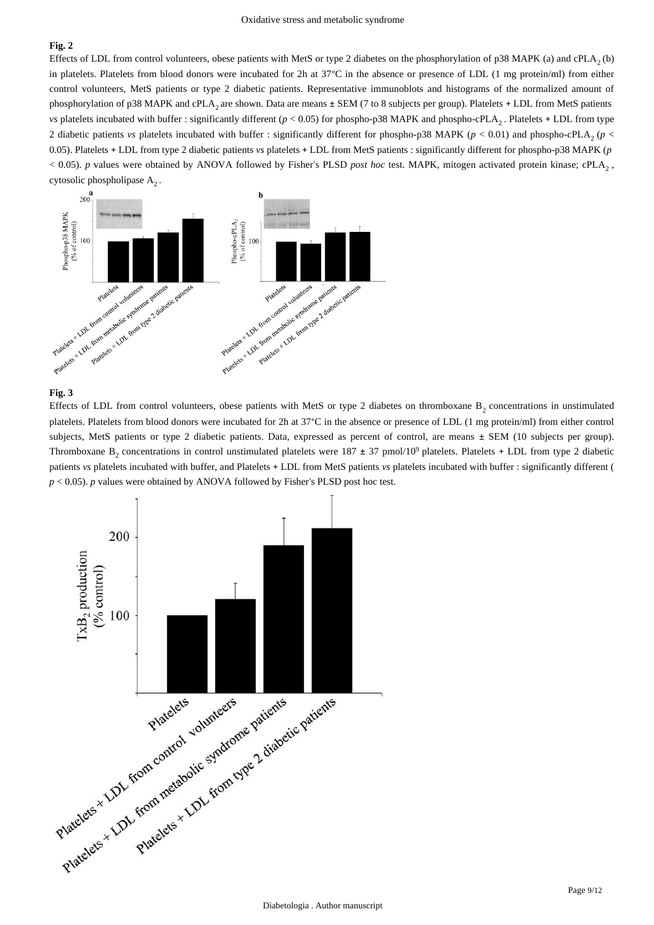# **Fig. 2**

Effects of LDL from control volunteers, obese patients with MetS or type 2 diabetes on the phosphorylation of p38 MAPK (a) and cPLA<sub>2</sub> (b) in platelets. Platelets from blood donors were incubated for 2h at 37°C in the absence or presence of LDL (1 mg protein/ml) from either control volunteers, MetS patients or type 2 diabetic patients. Representative immunoblots and histograms of the normalized amount of phosphorylation of p38 MAPK and cPLA<sub>2</sub> are shown. Data are means  $\pm$  SEM (7 to 8 subjects per group). Platelets + LDL from MetS patients *vs* platelets incubated with buffer : significantly different ( $p < 0.05$ ) for phospho-p38 MAPK and phospho-cPLA<sub>2</sub>. Platelets + LDL from type 2 diabetic patients *vs* platelets incubated with buffer : significantly different for phospho-p38 MAPK ( $p$  < 0.01) and phospho-cPLA, ( $p$  < 0.05). Platelets + LDL from type 2 diabetic patients *vs* platelets + LDL from MetS patients : significantly different for phospho-p38 MAPK (*p*   $<$  0.05). *p* values were obtained by ANOVA followed by Fisher's PLSD *post hoc* test. MAPK, mitogen activated protein kinase; cPLA<sub>2</sub>, cytosolic phospholipase  $A_2$ .



## **Fig. 3**

Effects of LDL from control volunteers, obese patients with MetS or type 2 diabetes on thromboxane  $B_2$  concentrations in unstimulated platelets. Platelets from blood donors were incubated for 2h at 37°C in the absence or presence of LDL (1 mg protein/ml) from either control subjects, MetS patients or type 2 diabetic patients. Data, expressed as percent of control, are means ± SEM (10 subjects per group). Thromboxane  $B_2$  concentrations in control unstimulated platelets were 187  $\pm$  37 pmol/10<sup>9</sup> platelets. Platelets + LDL from type 2 diabetic patients *vs* platelets incubated with buffer, and Platelets + LDL from MetS patients *vs* platelets incubated with buffer : significantly different ( *p* < 0.05). *p* values were obtained by ANOVA followed by Fisher's PLSD post hoc test.

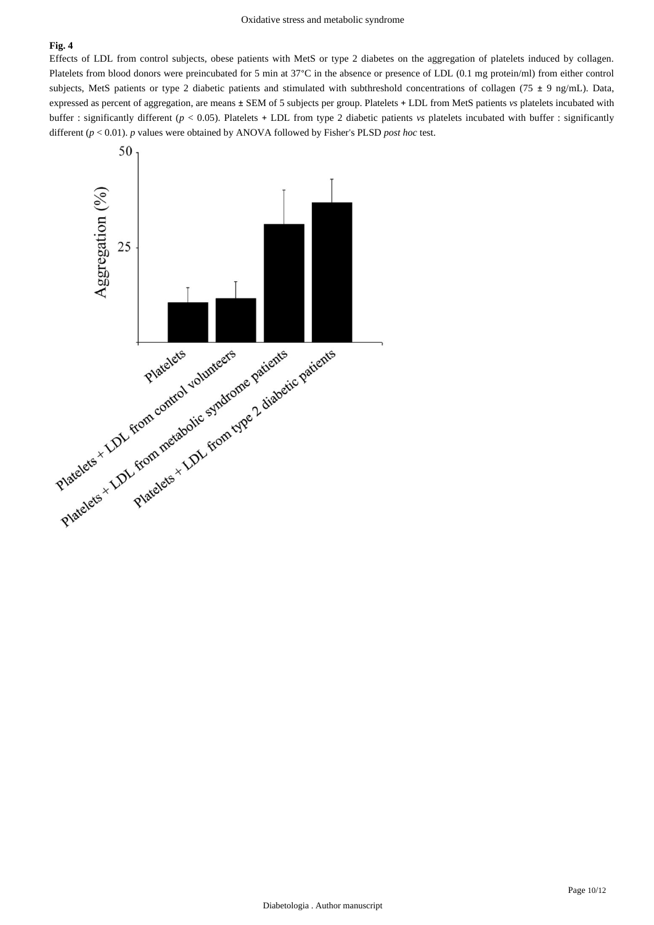# **Fig. 4**

Effects of LDL from control subjects, obese patients with MetS or type 2 diabetes on the aggregation of platelets induced by collagen. Platelets from blood donors were preincubated for 5 min at 37°C in the absence or presence of LDL (0.1 mg protein/ml) from either control subjects, MetS patients or type 2 diabetic patients and stimulated with subthreshold concentrations of collagen (75 ± 9 ng/mL). Data, expressed as percent of aggregation, are means ± SEM of 5 subjects per group. Platelets + LDL from MetS patients *vs* platelets incubated with buffer : significantly different (*p* < 0.05). Platelets + LDL from type 2 diabetic patients *vs* platelets incubated with buffer : significantly different (*p* < 0.01). *p* values were obtained by ANOVA followed by Fisher's PLSD *post hoc* test.

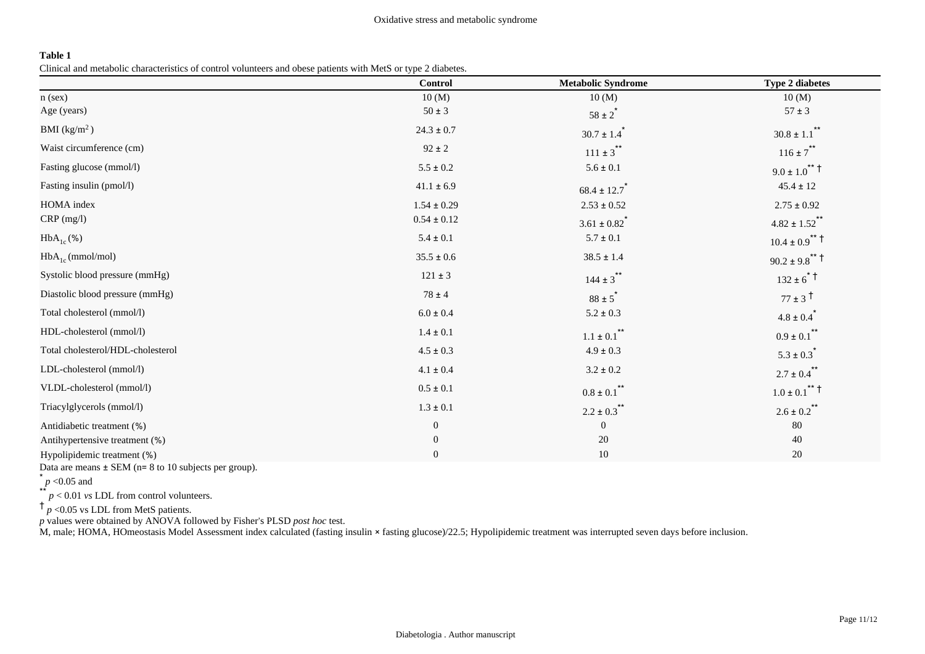# **Table 1**

Clinical and metabolic characteristics of control volunteers and obese patients with MetS or type 2 diabetes.

|                                   | Control          | <b>Metabolic Syndrome</b>    | <b>Type 2 diabetes</b>                    |
|-----------------------------------|------------------|------------------------------|-------------------------------------------|
| $n$ (sex)                         | 10(M)            | 10(M)                        | 10(M)                                     |
| Age (years)                       | $50 \pm 3$       | $58 \pm 2^*$                 | $57 \pm 3$                                |
| BMI $(kg/m2)$                     | $24.3 \pm 0.7$   | $30.7 \pm 1.4$ <sup>*</sup>  | $30.8 \pm 1.1$ <sup>**</sup>              |
| Waist circumference (cm)          | $92 \pm 2$       | $111 \pm 3$ **               | $116 \pm 7$ **                            |
| Fasting glucose (mmol/l)          | $5.5 \pm 0.2$    | $5.6 \pm 0.1$                | $9.0 \pm 1.0^{\ast\ast}$ +                |
| Fasting insulin (pmol/l)          | $41.1 \pm 6.9$   | $68.4 \pm 12.7$              | $45.4 \pm 12$                             |
| <b>HOMA</b> index                 | $1.54 \pm 0.29$  | $2.53\pm0.52$                | $2.75 \pm 0.92$                           |
| $CRP$ (mg/l)                      | $0.54 \pm 0.12$  | $3.61 \pm 0.82$ <sup>*</sup> | $4.82 \pm 1.52$ <sup>**</sup>             |
| $HbA_{1c}(\%)$                    | $5.4 \pm 0.1$    | $5.7 \pm 0.1$                | $10.4 \pm 0.9$ <sup>**</sup> <sup>†</sup> |
| $HbA_{1c}$ (mmol/mol)             | $35.5 \pm 0.6$   | $38.5 \pm 1.4$               | $90.2 \pm 9.8$ <sup>**</sup> <sup>†</sup> |
| Systolic blood pressure (mmHg)    | $121 \pm 3$      | $144 \pm 3$ **               | $132 \pm 6$ <sup>*</sup>                  |
| Diastolic blood pressure (mmHg)   | $78 \pm 4$       | $88 \pm 5$ <sup>*</sup>      | $77 \pm 3^{\text{t}}$                     |
| Total cholesterol (mmol/l)        | $6.0 \pm 0.4$    | $5.2\pm0.3$                  | $4.8 \pm 0.4$ <sup>*</sup>                |
| HDL-cholesterol (mmol/l)          | $1.4\pm0.1$      | $1.1\pm0.1$ $^{**}$          | $0.9 \pm 0.1$ <sup>**</sup>               |
| Total cholesterol/HDL-cholesterol | $4.5 \pm 0.3$    | $4.9\pm0.3$                  | $5.3 \pm 0.3$ <sup>*</sup>                |
| LDL-cholesterol (mmol/l)          | $4.1 \pm 0.4$    | $3.2 \pm 0.2$                | $2.7 \pm 0.4$ <sup>**</sup>               |
| VLDL-cholesterol (mmol/l)         | $0.5\pm0.1$      | $0.8 \pm 0.1$ <sup>**</sup>  | $1.0 \pm 0.1$ <sup>**</sup> <sup>†</sup>  |
| Triacylglycerols (mmol/l)         | $1.3\pm0.1$      | $2.2 \pm 0.3$ **             | $2.6 \pm 0.2$ <sup>**</sup>               |
| Antidiabetic treatment (%)        | $\boldsymbol{0}$ | $\mathbf{0}$                 | 80                                        |
| Antihypertensive treatment (%)    | $\overline{0}$   | 20                           | 40                                        |
| Hypolipidemic treatment (%)       | $\mathbf{0}$     | $10\,$                       | 20                                        |

Data are means  $\pm$  SEM (n= 8 to 10 subjects per group).

 $p$  <0.05 and

\*\*  $\int p < 0.01$  *vs* LDL from control volunteers.

 $\dagger$   $_p$  <0.05 vs LDL from MetS patients.

*p* values were obtained by ANOVA followed by Fisher's PLSD *post hoc* test.

M, male; HOMA, HOmeostasis Model Assessment index calculated (fasting insulin × fasting glucose)/22.5; Hypolipidemic treatment was interrupted seven days before inclusion.